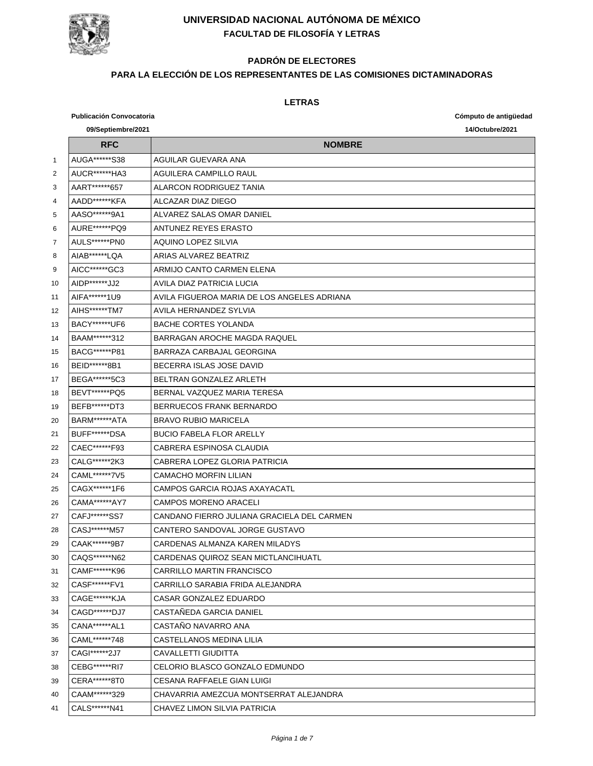

# **PADRÓN DE ELECTORES**

### **PARA LA ELECCIÓN DE LOS REPRESENTANTES DE LAS COMISIONES DICTAMINADORAS**

|                | <b>Publicación Convocatoria</b> |                                             | Cómputo de antigüedad |
|----------------|---------------------------------|---------------------------------------------|-----------------------|
|                | 09/Septiembre/2021              |                                             | 14/Octubre/2021       |
|                | <b>RFC</b>                      | <b>NOMBRE</b>                               |                       |
| 1              | AUGA*******S38                  | AGUILAR GUEVARA ANA                         |                       |
| 2              | AUCR*******HA3                  | <b>AGUILERA CAMPILLO RAUL</b>               |                       |
| 3              | AART******657                   | ALARCON RODRIGUEZ TANIA                     |                       |
| 4              | AADD*******KFA                  | ALCAZAR DIAZ DIEGO                          |                       |
| 5              | AASO******9A1                   | AI VAREZ SALAS OMAR DANIEL                  |                       |
| 6              | AURE******PQ9                   | ANTUNEZ REYES ERASTO                        |                       |
| $\overline{7}$ | AULS******PN0                   | AQUINO LOPEZ SILVIA                         |                       |
| 8              | AIAB******LQA                   | ARIAS ALVAREZ BEATRIZ                       |                       |
| 9              | AICC******GC3                   | ARMIJO CANTO CARMEN ELENA                   |                       |
| 10             | AIDP*******JJ2                  | AVILA DIAZ PATRICIA LUCIA                   |                       |
| 11             | AIFA******1U9                   | AVILA FIGUEROA MARIA DE LOS ANGELES ADRIANA |                       |
| 12             | AIHS******TM7                   | AVILA HERNANDEZ SYLVIA                      |                       |
| 13             | BACY*******UF6                  | <b>BACHE CORTES YOLANDA</b>                 |                       |
| 14             | BAAM******312                   | BARRAGAN AROCHE MAGDA RAQUEL                |                       |
| 15             | BACG******P81                   | BARRAZA CARBAJAL GEORGINA                   |                       |
| 16             | BEID******8B1                   | BECERRA ISLAS JOSE DAVID                    |                       |
| 17             | BEGA*******5C3                  | BEI TRAN GONZALEZ ARLETH                    |                       |
| 18             | BEVT******PQ5                   | BERNAL VAZQUEZ MARIA TERESA                 |                       |
| 19             | BEFB*******DT3                  | BERRUECOS FRANK BERNARDO                    |                       |
| 20             | BARM******ATA                   | <b>BRAVO RUBIO MARICELA</b>                 |                       |
| 21             | BUFF*******DSA                  | <b>BUCIO FABELA FLOR ARELLY</b>             |                       |
| 22             | CAEC******F93                   | CABRERA ESPINOSA CLAUDIA                    |                       |
| 23             | CALG******2K3                   | CABRERA LOPEZ GLORIA PATRICIA               |                       |
| 24             | CAML******7V5                   | <b>CAMACHO MORFIN LILIAN</b>                |                       |
| 25             | CAGX******1F6                   | CAMPOS GARCIA ROJAS AXAYACATL               |                       |
| 26             | CAMA******AY7                   | <b>CAMPOS MORENO ARACELI</b>                |                       |
| 27             | CAFJ******SS7                   | CANDANO FIERRO JULIANA GRACIELA DEL CARMEN  |                       |
| 28             | CASJ******M57                   | CANTERO SANDOVAL JORGE GUSTAVO              |                       |
| 29             | CAAK******9B7                   | CARDENAS ALMANZA KAREN MILADYS              |                       |
| 30             | CAQS******N62                   | CARDENAS QUIROZ SEAN MICTLANCIHUATL         |                       |
| 31             | CAMF******K96                   | CARRILLO MARTIN FRANCISCO                   |                       |
| 32             | CASF******FV1                   | CARRILLO SARABIA FRIDA ALEJANDRA            |                       |
| 33             | CAGE******KJA                   | CASAR GONZALEZ EDUARDO                      |                       |
| 34             | CAGD******DJ7                   | CASTAÑEDA GARCIA DANIEL                     |                       |
| 35             | CANA******AL1                   | CASTAÑO NAVARRO ANA                         |                       |
| 36             | CAML******748                   | CASTELLANOS MEDINA LILIA                    |                       |
| 37             | CAGI******2J7                   | CAVALLETTI GIUDITTA                         |                       |
| 38             | CEBG******RI7                   | CELORIO BLASCO GONZALO EDMUNDO              |                       |
| 39             | CERA*******8T0                  | CESANA RAFFAELE GIAN LUIGI                  |                       |
| 40             | CAAM******329                   | CHAVARRIA AMEZCUA MONTSERRAT ALEJANDRA      |                       |
| 41             | CALS******N41                   | CHAVEZ LIMON SILVIA PATRICIA                |                       |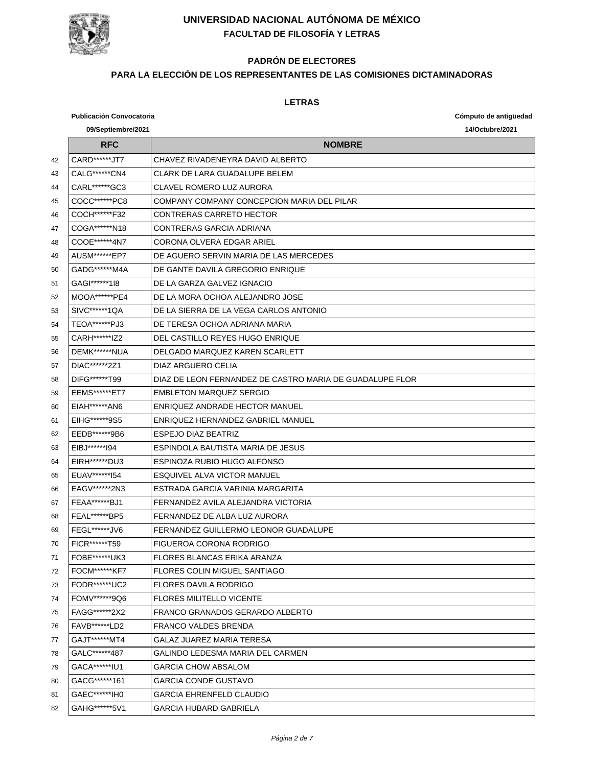

# **PADRÓN DE ELECTORES**

### **PARA LA ELECCIÓN DE LOS REPRESENTANTES DE LAS COMISIONES DICTAMINADORAS**

|    | <b>Publicación Convocatoria</b> |                                                          | Cómputo de antigüedad |
|----|---------------------------------|----------------------------------------------------------|-----------------------|
|    | 09/Septiembre/2021              |                                                          | 14/Octubre/2021       |
|    | <b>RFC</b>                      | <b>NOMBRE</b>                                            |                       |
| 42 | CARD******JT7                   | CHAVEZ RIVADENEYRA DAVID ALBERTO                         |                       |
| 43 | CALG******CN4                   | <b>CLARK DE LARA GUADALUPE BELEM</b>                     |                       |
| 44 | CARL******GC3                   | <b>CLAVEL ROMERO LUZ AURORA</b>                          |                       |
| 45 | COCC*******PC8                  | COMPANY COMPANY CONCEPCION MARIA DEL PILAR               |                       |
| 46 | COCH******F32                   | CONTRERAS CARRETO HECTOR                                 |                       |
| 47 | COGA******N18                   | CONTRERAS GARCIA ADRIANA                                 |                       |
| 48 | COOE******4N7                   | CORONA OLVERA EDGAR ARIEL                                |                       |
| 49 | AUSM******EP7                   | DE AGUERO SERVIN MARIA DE LAS MERCEDES                   |                       |
| 50 | GADG ****** M4A                 | DE GANTE DAVILA GREGORIO ENRIQUE                         |                       |
| 51 | GAGI******118                   | DE LA GARZA GALVEZ IGNACIO                               |                       |
| 52 | MOOA******PE4                   | DE LA MORA OCHOA ALEJANDRO JOSE                          |                       |
| 53 | SIVC******1QA                   | DE LA SIERRA DE LA VEGA CARLOS ANTONIO                   |                       |
| 54 | TEOA*******PJ3                  | DE TERESA OCHOA ADRIANA MARIA                            |                       |
| 55 | CARH******IZ2                   | DEL CASTILLO REYES HUGO ENRIQUE                          |                       |
| 56 | DEMK******NUA                   | DELGADO MARQUEZ KAREN SCARLETT                           |                       |
| 57 | DIAC******2Z1                   | DIAZ ARGUERO CELIA                                       |                       |
| 58 | DIFG******T99                   | DIAZ DE LEON FERNANDEZ DE CASTRO MARIA DE GUADALUPE FLOR |                       |
| 59 | <b>EEMS******ET7</b>            | <b>FMBLETON MARQUEZ SERGIO</b>                           |                       |
| 60 | EIAH******AN6                   | ENRIQUEZ ANDRADE HECTOR MANUEL                           |                       |
| 61 | EIHG******9S5                   | ENRIQUEZ HERNANDEZ GABRIEL MANUEL                        |                       |
| 62 | EEDB*******9B6                  | <b>ESPEJO DIAZ BEATRIZ</b>                               |                       |
| 63 | EIBJ*******194                  | ESPINDOLA BAUTISTA MARIA DE JESUS                        |                       |
| 64 | EIRH******DU3                   | ESPINOZA RUBIO HUGO ALFONSO                              |                       |
| 65 | EUAV******154                   | <b>ESQUIVEL ALVA VICTOR MANUEL</b>                       |                       |
| 66 | EAGV ******* 2N3                | ESTRADA GARCIA VARINIA MARGARITA                         |                       |
| 67 | FEAA******BJ1                   | FERNANDEZ AVILA ALEJANDRA VICTORIA                       |                       |
| 68 | FEAL******BP5                   | FERNANDEZ DE ALBA LUZ AURORA                             |                       |
| 69 | FEGL******JV6                   | FERNANDEZ GUILLERMO LEONOR GUADALUPE                     |                       |
| 70 | FICR*******T59                  | FIGUEROA CORONA RODRIGO                                  |                       |
| 71 | FOBE*******UK3                  | FLORES BLANCAS ERIKA ARANZA                              |                       |
| 72 | FOCM******KF7                   | <b>FLORES COLIN MIGUEL SANTIAGO</b>                      |                       |
| 73 | FODR*******UC2                  | <b>FLORES DAVILA RODRIGO</b>                             |                       |
| 74 | FOMV******9Q6                   | <b>FLORES MILITELLO VICENTE</b>                          |                       |
| 75 | FAGG*******2X2                  | FRANCO GRANADOS GERARDO ALBERTO                          |                       |
| 76 | FAVB******LD2                   | FRANCO VALDES BRENDA                                     |                       |
| 77 | GAJT******MT4                   | GALAZ JUAREZ MARIA TERESA                                |                       |
| 78 | GALC******487                   | GALINDO LEDESMA MARIA DEL CARMEN                         |                       |
| 79 | GACA*******IU1                  | <b>GARCIA CHOW ABSALOM</b>                               |                       |
| 80 | GACG******161                   | GARCIA CONDE GUSTAVO                                     |                       |
| 81 | GAEC*******IH0                  | <b>GARCIA EHRENFELD CLAUDIO</b>                          |                       |
| 82 | GAHG******5V1                   | <b>GARCIA HUBARD GABRIELA</b>                            |                       |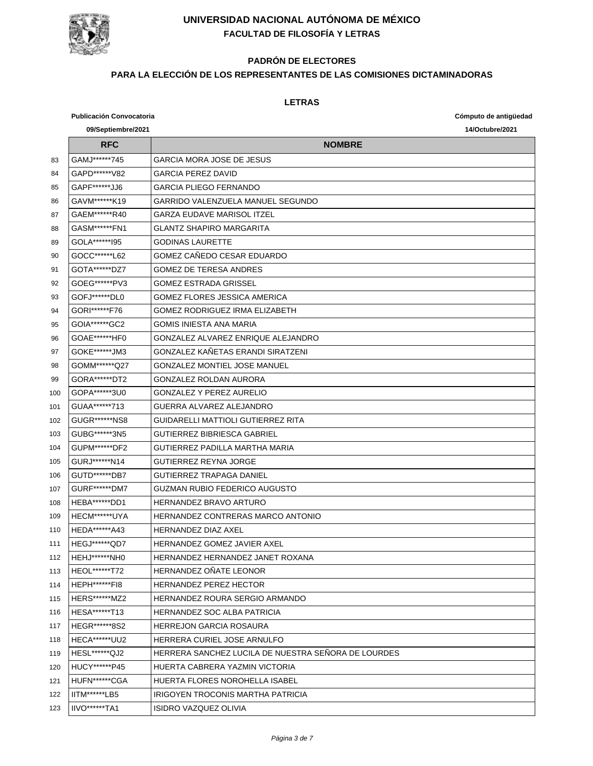

### **PADRÓN DE ELECTORES**

### **PARA LA ELECCIÓN DE LOS REPRESENTANTES DE LAS COMISIONES DICTAMINADORAS**

|     | <b>Publicación Convocatoria</b> |                                                     | Cómputo de antigüedad |
|-----|---------------------------------|-----------------------------------------------------|-----------------------|
|     | 09/Septiembre/2021              |                                                     | 14/Octubre/2021       |
|     | <b>RFC</b>                      | <b>NOMBRE</b>                                       |                       |
| 83  | GAMJ******745                   | <b>GARCIA MORA JOSE DE JESUS</b>                    |                       |
| 84  | GAPD*******V82                  | <b>GARCIA PEREZ DAVID</b>                           |                       |
| 85  | GAPF*******JJ6                  | <b>GARCIA PLIEGO FERNANDO</b>                       |                       |
| 86  | GAVM******K19                   | GARRIDO VALENZUELA MANUEL SEGUNDO                   |                       |
| 87  | GAEM******R40                   | <b>GARZA EUDAVE MARISOL ITZEL</b>                   |                       |
| 88  | GASM******FN1                   | <b>GLANTZ SHAPIRO MARGARITA</b>                     |                       |
| 89  | GOLA*******195                  | <b>GODINAS LAURETTE</b>                             |                       |
| 90  | GOCC*******L62                  | GOMEZ CAÑEDO CESAR EDUARDO                          |                       |
| 91  | GOTA*******DZ7                  | <b>GOMEZ DE TERESA ANDRES</b>                       |                       |
| 92  | GOEG******PV3                   | <b>GOMEZ ESTRADA GRISSEL</b>                        |                       |
| 93  | GOFJ ****** DL0                 | <b>GOMEZ FLORES JESSICA AMERICA</b>                 |                       |
| 94  | GORI******F76                   | <b>GOMEZ RODRIGUEZ IRMA ELIZABETH</b>               |                       |
| 95  | GOIA******GC2                   | <b>GOMIS INIESTA ANA MARIA</b>                      |                       |
| 96  | GOAE*******HF0                  | GONZALEZ ALVAREZ ENRIQUE ALEJANDRO                  |                       |
| 97  | GOKE******JM3                   | GONZALEZ KAÑETAS ERANDI SIRATZENI                   |                       |
| 98  | GOMM******Q27                   | <b>GONZALEZ MONTIEL JOSE MANUEL</b>                 |                       |
| 99  | GORA*******DT2                  | <b>GONZALEZ ROLDAN AURORA</b>                       |                       |
| 100 | GOPA******3U0                   | GONZALEZ Y PEREZ AURELIO                            |                       |
| 101 | GUAA******713                   | GUERRA ALVAREZ ALEJANDRO                            |                       |
| 102 | GUGR******NS8                   | GUIDARELLI MATTIOLI GUTIERREZ RITA                  |                       |
| 103 | GUBG******3N5                   | <b>GUTIERREZ BIBRIESCA GABRIEL</b>                  |                       |
| 104 | GUPM******DF2                   | GUTIERREZ PADILLA MARTHA MARIA                      |                       |
| 105 | GURJ ******* N14                | <b>GUTIERREZ REYNA JORGE</b>                        |                       |
| 106 | GUTD*******DB7                  | <b>GUTIERREZ TRAPAGA DANIEL</b>                     |                       |
| 107 | GURF******DM7                   | <b>GUZMAN RUBIO FEDERICO AUGUSTO</b>                |                       |
| 108 | HEBA*******DD1                  | HERNANDEZ BRAVO ARTURO                              |                       |
| 109 | HECM******UYA                   | HERNANDEZ CONTRERAS MARCO ANTONIO                   |                       |
| 110 | HEDA******A43                   | <b>HERNANDEZ DIAZ AXEL</b>                          |                       |
| 111 | HEGJ*******QD7                  | HERNANDEZ GOMEZ JAVIER AXEL                         |                       |
| 112 | HEHJ******NH0                   | HERNANDEZ HERNANDEZ JANET ROXANA                    |                       |
| 113 | HEOL*******T72                  | HERNANDEZ ONATE LEONOR                              |                       |
| 114 | HEPH*******FI8                  | HERNANDEZ PEREZ HECTOR                              |                       |
| 115 | HERS******MZ2                   | HERNANDEZ ROURA SERGIO ARMANDO                      |                       |
| 116 | HESA*******T13                  | HERNANDEZ SOC ALBA PATRICIA                         |                       |
| 117 | HEGR******8S2                   | <b>HERREJON GARCIA ROSAURA</b>                      |                       |
| 118 | HECA******UU2                   | HERRERA CURIEL JOSE ARNULFO                         |                       |
| 119 | <b>HESL******QJ2</b>            | HERRERA SANCHEZ LUCILA DE NUESTRA SENORA DE LOURDES |                       |
| 120 | HUCY******P45                   | HUERTA CABRERA YAZMIN VICTORIA                      |                       |
| 121 | HUFN*******CGA                  | HUERTA FLORES NOROHELLA ISABEL                      |                       |
| 122 | IITM******LB5                   | IRIGOYEN TROCONIS MARTHA PATRICIA                   |                       |
| 123 | IIVO******TA1                   | ISIDRO VAZQUEZ OLIVIA                               |                       |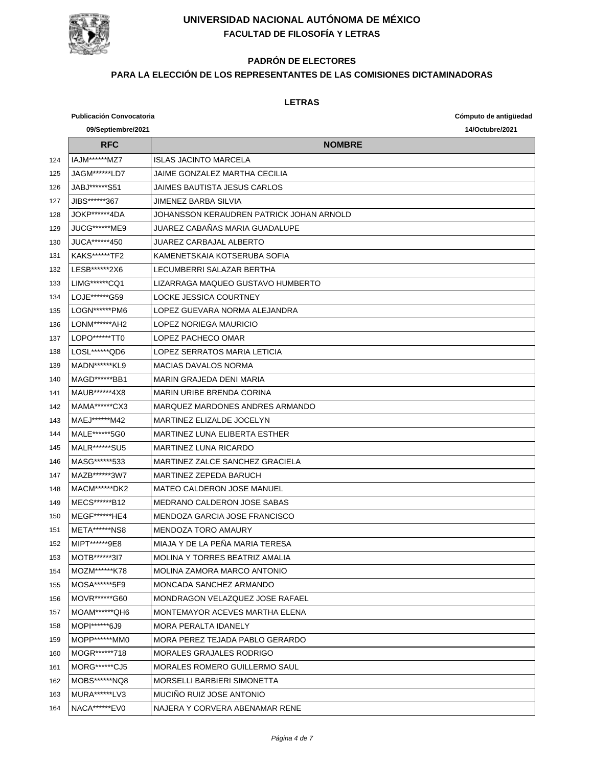

# **PADRÓN DE ELECTORES**

### **PARA LA ELECCIÓN DE LOS REPRESENTANTES DE LAS COMISIONES DICTAMINADORAS**

|     | <b>Publicación Convocatoria</b> |                                          | Cómputo de antigüedad |
|-----|---------------------------------|------------------------------------------|-----------------------|
|     | 09/Septiembre/2021              |                                          | 14/Octubre/2021       |
|     | <b>RFC</b>                      | <b>NOMBRE</b>                            |                       |
| 124 | IAJM******MZ7                   | <b>ISLAS JACINTO MARCELA</b>             |                       |
| 125 | JAGM*******LD7                  | JAIME GONZALEZ MARTHA CECILIA            |                       |
| 126 | JABJ******S51                   | JAIMES BAUTISTA JESUS CARLOS             |                       |
| 127 | JIBS******367                   | JIMENEZ BARBA SILVIA                     |                       |
| 128 | JOKP******4DA                   | JOHANSSON KERAUDREN PATRICK JOHAN ARNOLD |                       |
| 129 | JUCG******ME9                   | JUAREZ CABAÑAS MARIA GUADALUPE           |                       |
| 130 | JUCA*******450                  | JUAREZ CARBAJAL ALBERTO                  |                       |
| 131 | <b>KAKS******TF2</b>            | KAMENETSKAIA KOTSERUBA SOFIA             |                       |
| 132 | LESB******2X6                   | LECUMBERRI SALAZAR BERTHA                |                       |
| 133 | LIMG******CQ1                   | LIZARRAGA MAQUEO GUSTAVO HUMBERTO        |                       |
| 134 | LOJE******G59                   | LOCKE JESSICA COURTNEY                   |                       |
| 135 | LOGN******PM6                   | LOPEZ GUEVARA NORMA ALEJANDRA            |                       |
| 136 | LONM******AH2                   | LOPEZ NORIEGA MAURICIO                   |                       |
| 137 | LOPO*******TT0                  | LOPEZ PACHECO OMAR                       |                       |
| 138 | LOSL ****** QD6                 | LOPEZ SERRATOS MARIA LETICIA             |                       |
| 139 | <b>MADN******KL9</b>            | <b>MACIAS DAVALOS NORMA</b>              |                       |
| 140 | MAGD******BB1                   | MARIN GRAJEDA DENI MARIA                 |                       |
| 141 | MAUB******4X8                   | <b>MARIN URIBE BRENDA CORINA</b>         |                       |
| 142 | MAMA******CX3                   | MARQUEZ MARDONES ANDRES ARMANDO          |                       |
| 143 | MAEJ ****** M42                 | MARTINEZ ELIZALDE JOCELYN                |                       |
| 144 | MALE*******5G0                  | MARTINEZ LUNA ELIBERTA ESTHER            |                       |
| 145 | MALR******SU5                   | <b>MARTINEZ LUNA RICARDO</b>             |                       |
| 146 | MASG******533                   | MARTINEZ ZALCE SANCHEZ GRACIELA          |                       |
| 147 | MAZB******3W7                   | MARTINEZ ZEPEDA BARUCH                   |                       |
| 148 | MACM******DK2                   | <b>MATEO CALDERON JOSE MANUEL</b>        |                       |
| 149 | MECS******B12                   | MEDRANO CALDERON JOSE SABAS              |                       |
| 150 | MEGF*******HE4                  | MENDOZA GARCIA JOSE FRANCISCO            |                       |
| 151 | <b>META******NS8</b>            | <b>MENDOZA TORO AMAURY</b>               |                       |
| 152 | MIPT******9E8                   | MIAJA Y DE LA PENA MARIA TERESA          |                       |
| 153 | MOTB******3I7                   | <b>MOLINA Y TORRES BEATRIZ AMALIA</b>    |                       |
| 154 | MOZM******K78                   | MOLINA ZAMORA MARCO ANTONIO              |                       |
| 155 | MOSA*******5F9                  | MONCADA SANCHEZ ARMANDO                  |                       |
| 156 | MOVR******G60                   | MONDRAGON VELAZQUEZ JOSE RAFAEL          |                       |
| 157 | MOAM******QH6                   | MONTEMAYOR ACEVES MARTHA ELENA           |                       |
| 158 | MOPI******6J9                   | MORA PERALTA IDANELY                     |                       |
| 159 | MOPP ****** MM0                 | MORA PEREZ TEJADA PABLO GERARDO          |                       |
| 160 | MOGR******718                   | <b>MORALES GRAJALES RODRIGO</b>          |                       |
| 161 | MORG*******CJ5                  | MORALES ROMERO GUILLERMO SAUL            |                       |
| 162 | MOBS******NQ8                   | MORSELLI BARBIERI SIMONETTA              |                       |
| 163 | MURA******LV3                   | MUCINO RUIZ JOSE ANTONIO                 |                       |
| 164 | NACA******EV0                   | NAJERA Y CORVERA ABENAMAR RENE           |                       |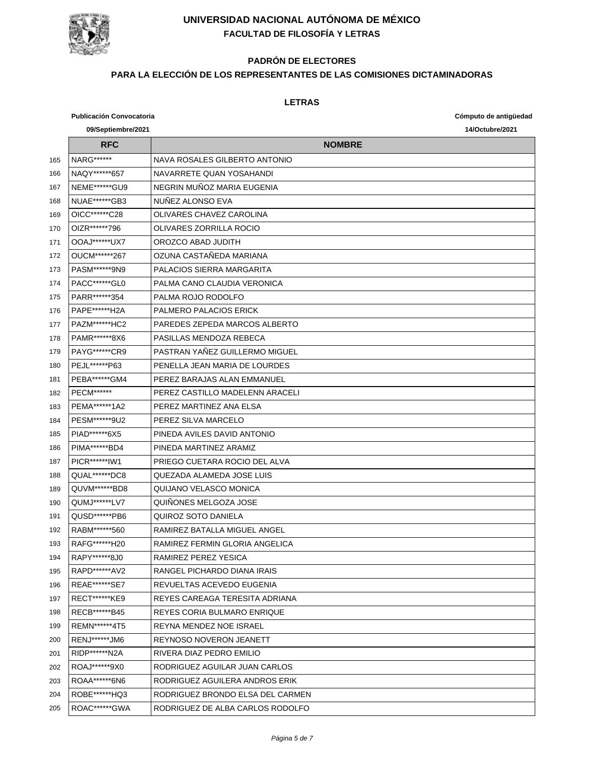

# **PADRÓN DE ELECTORES**

### **PARA LA ELECCIÓN DE LOS REPRESENTANTES DE LAS COMISIONES DICTAMINADORAS**

|     | <b>Publicación Convocatoria</b> |                                  | Cómputo de antigüedad |  |
|-----|---------------------------------|----------------------------------|-----------------------|--|
|     | 09/Septiembre/2021              |                                  | 14/Octubre/2021       |  |
|     | <b>RFC</b>                      | <b>NOMBRE</b>                    |                       |  |
| 165 | NARG *******                    | NAVA ROSALES GILBERTO ANTONIO    |                       |  |
| 166 | NAQY******657                   | NAVARRETE QUAN YOSAHANDI         |                       |  |
| 167 | NEME******GU9                   | NEGRIN MUÑOZ MARIA EUGENIA       |                       |  |
| 168 | NUAE******GB3                   | NUNEZ ALONSO EVA                 |                       |  |
| 169 | OICC*******C28                  | OLIVARES CHAVEZ CAROLINA         |                       |  |
| 170 | OIZR******796                   | OLIVARES ZORRILLA ROCIO          |                       |  |
| 171 | OOAJ******UX7                   | OROZCO ABAD JUDITH               |                       |  |
| 172 | OUCM******267                   | OZUNA CASTAÑEDA MARIANA          |                       |  |
| 173 | PASM******9N9                   | PALACIOS SIERRA MARGARITA        |                       |  |
| 174 | PACC*******GL0                  | PALMA CANO CLAUDIA VERONICA      |                       |  |
| 175 | PARR*******354                  | PALMA ROJO RODOLFO               |                       |  |
| 176 | PAPE*******H2A                  | <b>PALMERO PALACIOS ERICK</b>    |                       |  |
| 177 | PAZM******HC2                   | PAREDES ZEPEDA MARCOS ALBERTO    |                       |  |
| 178 | PAMR******8X6                   | PASILLAS MENDOZA REBECA          |                       |  |
| 179 | PAYG*******CR9                  | PASTRAN YAÑEZ GUILLERMO MIGUEL   |                       |  |
| 180 | PEJL*******P63                  | PENELLA JEAN MARIA DE LOURDES    |                       |  |
| 181 | PEBA******GM4                   | PEREZ BARAJAS ALAN EMMANUEL      |                       |  |
| 182 | <b>PECM******</b>               | PEREZ CASTILLO MADELENN ARACELI  |                       |  |
| 183 | PEMA******1A2                   | PEREZ MARTINEZ ANA ELSA          |                       |  |
| 184 | PESM******9U2                   | PEREZ SILVA MARCELO              |                       |  |
| 185 | PIAD******6X5                   | PINEDA AVILES DAVID ANTONIO      |                       |  |
| 186 | PIMA******BD4                   | PINEDA MARTINEZ ARAMIZ           |                       |  |
| 187 | PICR******IW1                   | PRIEGO CUETARA ROCIO DEL ALVA    |                       |  |
| 188 | QUAL******DC8                   | QUEZADA ALAMEDA JOSE LUIS        |                       |  |
| 189 | QUVM******BD8                   | QUIJANO VELASCO MONICA           |                       |  |
| 190 | QUMJ******LV7                   | QUINONES MELGOZA JOSE            |                       |  |
| 191 | QUSD******PB6                   | QUIROZ SOTO DANIELA              |                       |  |
| 192 | RABM******560                   | RAMIREZ BATALLA MIGUEL ANGEL     |                       |  |
| 193 | RAFG******H20                   | RAMIREZ FERMIN GLORIA ANGELICA   |                       |  |
| 194 | RAPY******8J0                   | RAMIREZ PEREZ YESICA             |                       |  |
| 195 | RAPD ****** AV2                 | RANGEL PICHARDO DIANA IRAIS      |                       |  |
| 196 | REAE******SE7                   | REVUELTAS ACEVEDO EUGENIA        |                       |  |
| 197 | RECT*******KE9                  | REYES CAREAGA TERESITA ADRIANA   |                       |  |
| 198 | RECB*******B45                  | REYES CORIA BULMARO ENRIQUE      |                       |  |
| 199 | REMN******4T5                   | REYNA MENDEZ NOE ISRAEL          |                       |  |
| 200 | RENJ*******JM6                  | <b>REYNOSO NOVERON JEANETT</b>   |                       |  |
| 201 | RIDP******N2A                   | RIVERA DIAZ PEDRO EMILIO         |                       |  |
| 202 | ROAJ ******9X0                  | RODRIGUEZ AGUILAR JUAN CARLOS    |                       |  |
| 203 | ROAA*******6N6                  | RODRIGUEZ AGUILERA ANDROS ERIK   |                       |  |
| 204 | ROBE******HQ3                   | RODRIGUEZ BRONDO ELSA DEL CARMEN |                       |  |
| 205 | ROAC******GWA                   | RODRIGUEZ DE ALBA CARLOS RODOLFO |                       |  |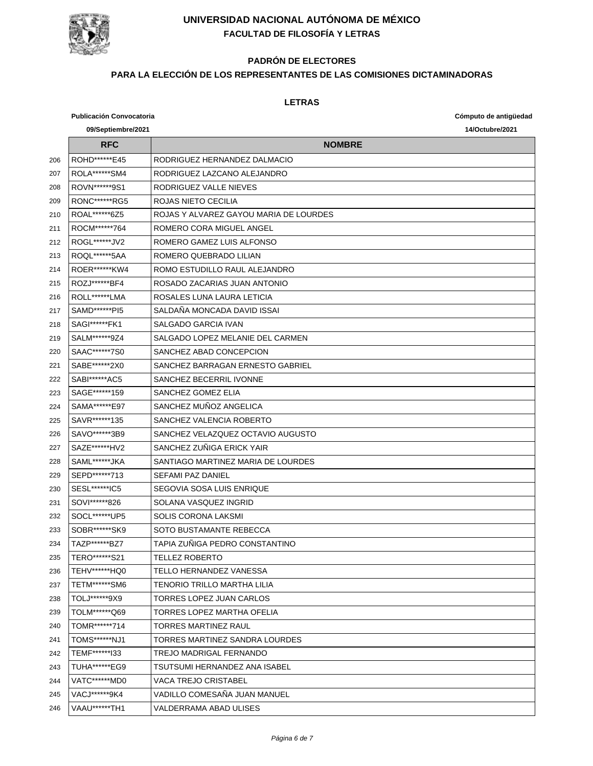

# **PADRÓN DE ELECTORES**

### **PARA LA ELECCIÓN DE LOS REPRESENTANTES DE LAS COMISIONES DICTAMINADORAS**

|     | <b>Publicación Convocatoria</b> |                                        | Cómputo de antigüedad |
|-----|---------------------------------|----------------------------------------|-----------------------|
|     | 09/Septiembre/2021              |                                        | 14/Octubre/2021       |
|     | <b>RFC</b>                      | <b>NOMBRE</b>                          |                       |
| 206 | ROHD*******E45                  | RODRIGUEZ HERNANDEZ DALMACIO           |                       |
| 207 | ROLA******SM4                   | RODRIGUEZ LAZCANO ALEJANDRO            |                       |
| 208 | ROVN******9S1                   | RODRIGUEZ VALLE NIEVES                 |                       |
| 209 | RONC*******RG5                  | ROJAS NIETO CECILIA                    |                       |
| 210 | ROAL******6Z5                   | ROJAS Y ALVAREZ GAYOU MARIA DE LOURDES |                       |
| 211 | ROCM******764                   | ROMERO CORA MIGUEL ANGEL               |                       |
| 212 | ROGL*******JV2                  | ROMERO GAMEZ LUIS ALFONSO              |                       |
| 213 | ROQL*******5AA                  | ROMERO QUEBRADO LILIAN                 |                       |
| 214 | <b>ROER******KW4</b>            | ROMO ESTUDILLO RAUL ALEJANDRO          |                       |
| 215 | ROZJ ******* BF4                | ROSADO ZACARIAS JUAN ANTONIO           |                       |
| 216 | ROLL******LMA                   | ROSALES LUNA LAURA LETICIA             |                       |
| 217 | SAMD******PI5                   | SALDAÑA MONCADA DAVID ISSAI            |                       |
| 218 | SAGI******FK1                   | SALGADO GARCIA IVAN                    |                       |
| 219 | SALM******9Z4                   | SALGADO LOPEZ MELANIE DEL CARMEN       |                       |
| 220 | SAAC******7S0                   | SANCHEZ ABAD CONCEPCION                |                       |
| 221 | SABE*******2X0                  | SANCHEZ BARRAGAN FRNESTO GABRIEL       |                       |
| 222 | SABI******AC5                   | SANCHEZ BECERRIL IVONNE                |                       |
| 223 | SAGE******159                   | SANCHEZ GOMEZ ELIA                     |                       |
| 224 | SAMA*******E97                  | SANCHEZ MUÑOZ ANGELICA                 |                       |
| 225 | SAVR******135                   | SANCHEZ VALENCIA ROBERTO               |                       |
| 226 | SAVO*******3B9                  | SANCHEZ VELAZQUEZ OCTAVIO AUGUSTO      |                       |
| 227 | SAZE******HV2                   | SANCHEZ ZUÑIGA ERICK YAIR              |                       |
| 228 | SAML*******JKA                  | SANTIAGO MARTINEZ MARIA DE LOURDES     |                       |
| 229 | SEPD*******713                  | <b>SEFAMI PAZ DANIEL</b>               |                       |
| 230 | SESL*******IC5                  | SEGOVIA SOSA LUIS ENRIQUE              |                       |
| 231 | SOVI******826                   | SOLANA VASQUEZ INGRID                  |                       |
| 232 | SOCL******UP5                   | <b>SOLIS CORONA LAKSMI</b>             |                       |
| 233 | SOBR******SK9                   | SOTO BUSTAMANTE REBECCA                |                       |
| 234 | TA7P******B77                   | TAPIA ZUÑIGA PEDRO CONSTANTINO         |                       |
| 235 | TERO*******S21                  | <b>TELLEZ ROBERTO</b>                  |                       |
| 236 | TEHV******HQ0                   | TELLO HERNANDEZ VANESSA                |                       |
| 237 | TETM******SM6                   | TENORIO TRILLO MARTHA LILIA            |                       |
| 238 | TOLJ******9X9                   | TORRES LOPEZ JUAN CARLOS               |                       |
| 239 | TOLM******Q69                   | TORRES LOPEZ MARTHA OFELIA             |                       |
| 240 | TOMR******714                   | TORRES MARTINEZ RAUL                   |                       |
| 241 | TOMS******NJ1                   | TORRES MARTINEZ SANDRA LOURDES         |                       |
| 242 | TEMF*******133                  | TREJO MADRIGAL FERNANDO                |                       |
| 243 | <b>TUHA******EG9</b>            | TSUTSUMI HERNANDEZ ANA ISABEL          |                       |
| 244 | VATC******MD0                   | <b>VACA TREJO CRISTABEL</b>            |                       |
| 245 | VACJ ****** 9K4                 | VADILLO COMESAÑA JUAN MANUEL           |                       |
| 246 | VAAU******TH1                   | VALDERRAMA ABAD ULISES                 |                       |